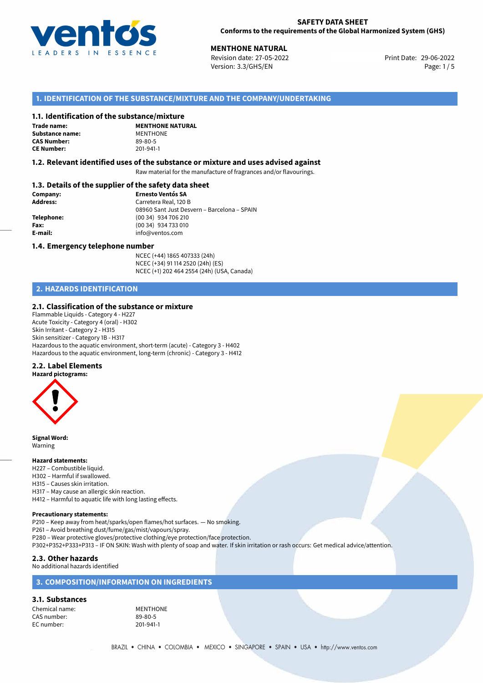

**MENTHONE NATURAL**<br>
Revision date: 27-05-2022 **Access 29-06-2022** Print Date: 29-06-2022 Version: 3.3/GHS/EN Page: 1/5

## **1. IDENTIFICATION OF THE SUBSTANCE/MIXTURE AND THE COMPANY/UNDERTAKING**

#### **1.1. Identification of the substance/mixture**

**Trade name: Substance name:** MENTHONE<br> **CAS Number:** 89-80-5 **CAS Number: CE Number:** 201-941-1

**MENTHONE NATURAL**

#### **1.2. Relevant identified uses of the substance or mixture and uses advised against**

Raw material for the manufacture of fragrances and/or flavourings.

## **1.3. Details of the supplier of the safety data sheet**

| Company:        | <b>Ernesto Ventós SA</b>                    |
|-----------------|---------------------------------------------|
| <b>Address:</b> | Carretera Real, 120 B                       |
|                 | 08960 Sant Just Desvern - Barcelona - SPAIN |
| Telephone:      | (00 34) 934 706 210                         |
| Fax:            | (00 34) 934 733 010                         |
| E-mail:         | info@ventos.com                             |
|                 |                                             |

#### **1.4. Emergency telephone number**

NCEC (+44) 1865 407333 (24h) NCEC (+34) 91 114 2520 (24h) (ES) NCEC (+1) 202 464 2554 (24h) (USA, Canada)

## **2. HAZARDS IDENTIFICATION**

#### **2.1. Classification of the substance or mixture**

Flammable Liquids - Category 4 - H227 Acute Toxicity - Category 4 (oral) - H302 Skin Irritant - Category 2 - H315 Skin sensitizer - Category 1B - H317 Hazardous to the aquatic environment, short-term (acute) - Category 3 - H402 Hazardous to the aquatic environment, long-term (chronic) - Category 3 - H412

### **2.2. Label Elements**

**Hazard pictograms:**



**Signal Word:** Warning

#### **Hazard statements:**

H227 – Combustible liquid. H302 – Harmful if swallowed. H315 – Causes skin irritation. H317 – May cause an allergic skin reaction. H412 – Harmful to aquatic life with long lasting effects.

#### **Precautionary statements:**

P210 – Keep away from heat/sparks/open flames/hot surfaces. — No smoking.

P261 – Avoid breathing dust/fume/gas/mist/vapours/spray.

P280 – Wear protective gloves/protective clothing/eye protection/face protection.

P302+P352+P333+P313 – IF ON SKIN: Wash with plenty of soap and water. If skin irritation or rash occurs: Get medical advice/attention.

#### **2.3. Other hazards**

No additional hazards identified

## **3. COMPOSITION/INFORMATION ON INGREDIENTS**

#### **3.1. Substances**

Chemical name:<br>
CAS number: 
89-80-5 CAS number: 89-80-5<br>
EC number: 201-941-1 EC number: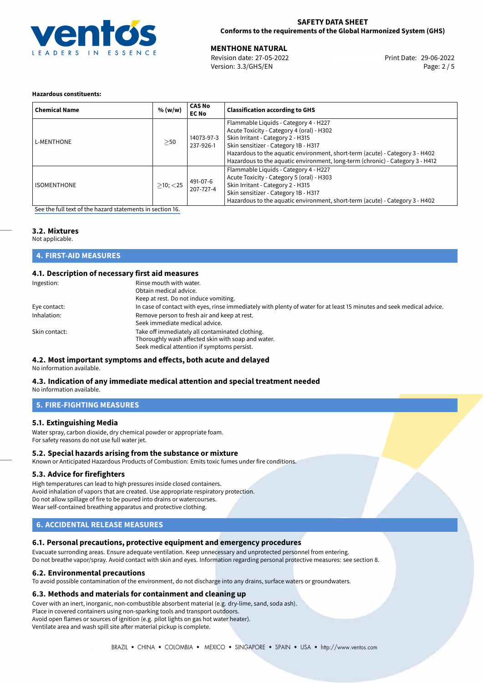

### **SAFETY DATA SHEET Conforms to the requirements of the Global Harmonized System (GHS)**

**MENTHONE NATURAL**<br>
Revision date: 27-05-2022 **And Contain the Case of Print Date: 29-06-2022** Version: 3.3/GHS/EN Page: 2 / 5

#### **Hazardous constituents:**

| <b>Chemical Name</b> | % (w/w)        | <b>CAS No</b><br><b>EC No</b> | <b>Classification according to GHS</b>                                                                                                                                                                                                                                                                                           |
|----------------------|----------------|-------------------------------|----------------------------------------------------------------------------------------------------------------------------------------------------------------------------------------------------------------------------------------------------------------------------------------------------------------------------------|
| <b>L-MENTHONE</b>    | >50            | 14073-97-3<br>237-926-1       | Flammable Liquids - Category 4 - H227<br>Acute Toxicity - Category 4 (oral) - H302<br>Skin Irritant - Category 2 - H315<br>Skin sensitizer - Category 1B - H317<br>Hazardous to the aquatic environment, short-term (acute) - Category 3 - H402<br>Hazardous to the aquatic environment, long-term (chronic) - Category 3 - H412 |
| <b>ISOMENTHONE</b>   | $>10$ ; $<$ 25 | 491-07-6<br>207-727-4         | Flammable Liquids - Category 4 - H227<br>Acute Toxicity - Category 5 (oral) - H303<br>Skin Irritant - Category 2 - H315<br>Skin sensitizer - Category 1B - H317<br>Hazardous to the aquatic environment, short-term (acute) - Category 3 - H402                                                                                  |

[See the full text of the hazard statements in section 16.](#page-4-0)

## **3.2. Mixtures**

Not applicable.

| <b>4. FIRST-AID MEASURES</b> |
|------------------------------|
|------------------------------|

## **4.1. Description of necessary first aid measures**

| Ingestion:    | Rinse mouth with water.<br>Obtain medical advice.<br>Keep at rest. Do not induce vomiting.                                                           |
|---------------|------------------------------------------------------------------------------------------------------------------------------------------------------|
| Eye contact:  | In case of contact with eyes, rinse immediately with plenty of water for at least 15 minutes and seek medical advice.                                |
| Inhalation:   | Remove person to fresh air and keep at rest.<br>Seek immediate medical advice.                                                                       |
| Skin contact: | Take off immediately all contaminated clothing.<br>Thoroughly wash affected skin with soap and water.<br>Seek medical attention if symptoms persist. |

#### **4.2. Most important symptoms and effects, both acute and delayed** No information available.

## **4.3. Indication of any immediate medical attention and special treatment needed**

No information available.

## **5. FIRE-FIGHTING MEASURES**

### **5.1. Extinguishing Media**

Water spray, carbon dioxide, dry chemical powder or appropriate foam. For safety reasons do not use full water jet.

#### **5.2. Special hazards arising from the substance or mixture**

Known or Anticipated Hazardous Products of Combustion: Emits toxic fumes under fire conditions.

## **5.3. Advice for firefighters**

High temperatures can lead to high pressures inside closed containers. Avoid inhalation of vapors that are created. Use appropriate respiratory protection. Do not allow spillage of fire to be poured into drains or watercourses. Wear self-contained breathing apparatus and protective clothing.

## **6. ACCIDENTAL RELEASE MEASURES**

### **6.1. Personal precautions, protective equipment and emergency procedures**

Evacuate surronding areas. Ensure adequate ventilation. Keep unnecessary and unprotected personnel from entering. Do not breathe vapor/spray. Avoid contact with skin and eyes. Information regarding personal protective measures: see section 8.

#### **6.2. Environmental precautions**

To avoid possible contamination of the environment, do not discharge into any drains, surface waters or groundwaters.

### **6.3. Methods and materials for containment and cleaning up**

Cover with an inert, inorganic, non-combustible absorbent material (e.g. dry-lime, sand, soda ash).

Place in covered containers using non-sparking tools and transport outdoors.

Avoid open flames or sources of ignition (e.g. pilot lights on gas hot water heater).

Ventilate area and wash spill site after material pickup is complete.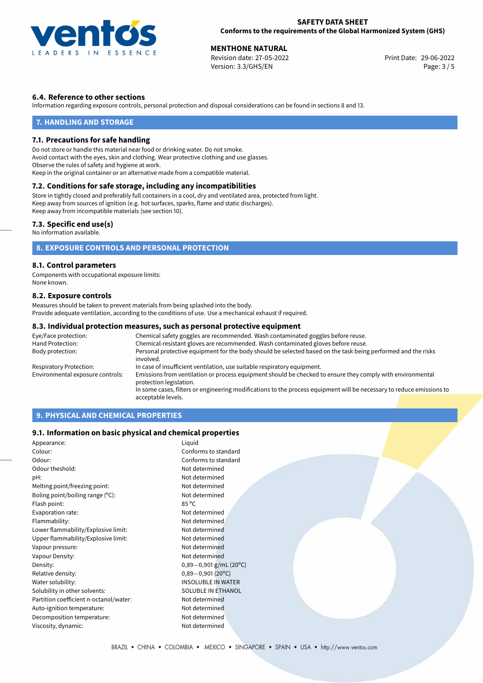

**MENTHONE NATURAL**<br>
Revision date: 27-05-2022 **And Contain the Case of Print Date: 29-06-2022** Version: 3.3/GHS/EN Page: 3 / 5

## **6.4. Reference to other sections**

Information regarding exposure controls, personal protection and disposal considerations can be found in sections 8 and 13.

### **7. HANDLING AND STORAGE**

#### **7.1. Precautions for safe handling**

Do not store or handle this material near food or drinking water. Do not smoke. Avoid contact with the eyes, skin and clothing. Wear protective clothing and use glasses. Observe the rules of safety and hygiene at work. Keep in the original container or an alternative made from a compatible material.

## **7.2. Conditions for safe storage, including any incompatibilities**

Store in tightly closed and preferably full containers in a cool, dry and ventilated area, protected from light. Keep away from sources of ignition (e.g. hot surfaces, sparks, flame and static discharges). Keep away from incompatible materials (see section 10).

#### **7.3. Specific end use(s)**

No information available.

## **8. EXPOSURE CONTROLS AND PERSONAL PROTECTION**

#### **8.1. Control parameters**

Components with occupational exposure limits: None known.

#### **8.2. Exposure controls**

Measures should be taken to prevent materials from being splashed into the body. Provide adequate ventilation, according to the conditions of use. Use a mechanical exhaust if required.

#### **8.3. Individual protection measures, such as personal protective equipment**

| Eye/Face protection:             | Chemical safety goggles are recommended. Wash contaminated goggles before reuse.                                                      |  |  |  |
|----------------------------------|---------------------------------------------------------------------------------------------------------------------------------------|--|--|--|
| Hand Protection:                 | Chemical-resistant gloves are recommended. Wash contaminated gloves before reuse.                                                     |  |  |  |
| Body protection:                 | Personal protective equipment for the body should be selected based on the task being performed and the risks<br>involved.            |  |  |  |
| Respiratory Protection:          | In case of insufficient ventilation, use suitable respiratory equipment.                                                              |  |  |  |
| Environmental exposure controls: | Emissions from ventilation or process equipment should be checked to ensure they comply with environmental<br>protection legislation. |  |  |  |
|                                  | In some cases, filters or engineering modifications to the process equipment will be necessary to reduce emissions to                 |  |  |  |
|                                  | acceptable levels.                                                                                                                    |  |  |  |

## **9. PHYSICAL AND CHEMICAL PROPERTIES**

#### **9.1. Information on basic physical and chemical properties**

| Appearance:                                | Liquid                    |  |
|--------------------------------------------|---------------------------|--|
| Colour:                                    | Conforms to standard      |  |
| Odour:                                     | Conforms to standard      |  |
| Odour theshold:                            | Not determined            |  |
| pH:                                        | Not determined            |  |
| Melting point/freezing point:              | Not determined            |  |
| Boling point/boiling range $(^{\circ}C)$ : | Not determined            |  |
| Flash point:                               | $85^{\circ}$ C            |  |
| Evaporation rate:                          | Not determined            |  |
| Flammability:                              | Not determined            |  |
| Lower flammability/Explosive limit:        | Not determined            |  |
| Upper flammability/Explosive limit:        | Not determined            |  |
| Vapour pressure:                           | Not determined            |  |
| Vapour Density:                            | Not determined            |  |
| Density:                                   | $0,89-0,901$ g/mL (20°C)  |  |
| Relative density:                          | $0,89 - 0,901(20°C)$      |  |
| Water solubility:                          | <b>INSOLUBLE IN WATER</b> |  |
| Solubility in other solvents:              | SOLUBLE IN ETHANOL        |  |
| Partition coefficient n-octanol/water:     | Not determined            |  |
| Auto-ignition temperature:                 | Not determined            |  |
| Decomposition temperature:                 | Not determined            |  |
| Viscosity, dynamic:                        | Not determined            |  |
|                                            |                           |  |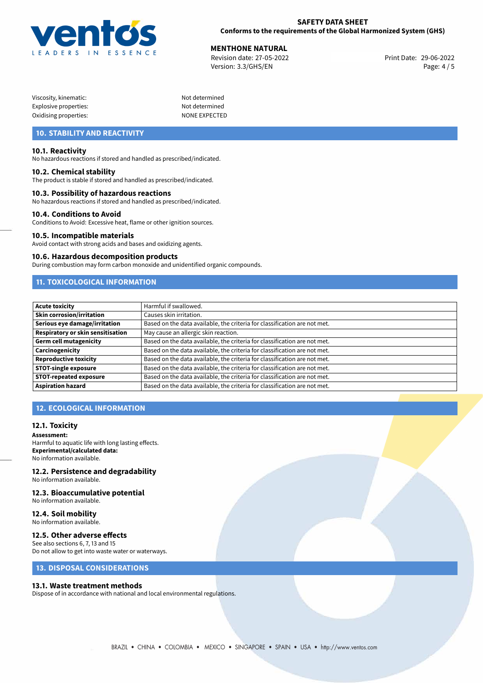

**MENTHONE NATURAL**<br>
Revision date: 27-05-2022 **And Contain the Case of Print Date: 29-06-2022** Version: 3.3/GHS/EN Page: 4 / 5

| Viscosity, kinematic: |  |
|-----------------------|--|
| Explosive properties: |  |
| Oxidising properties: |  |

Not determined Not determined NONE EXPECTED

## **10. STABILITY AND REACTIVITY**

#### **10.1. Reactivity**

No hazardous reactions if stored and handled as prescribed/indicated.

#### **10.2. Chemical stability**

The product is stable if stored and handled as prescribed/indicated.

#### **10.3. Possibility of hazardous reactions**

No hazardous reactions if stored and handled as prescribed/indicated.

#### **10.4. Conditions to Avoid**

Conditions to Avoid: Excessive heat, flame or other ignition sources.

#### **10.5. Incompatible materials**

Avoid contact with strong acids and bases and oxidizing agents.

#### **10.6. Hazardous decomposition products**

During combustion may form carbon monoxide and unidentified organic compounds.

## **11. TOXICOLOGICAL INFORMATION**

| <b>Acute toxicity</b>             | Harmful if swallowed.                                                     |
|-----------------------------------|---------------------------------------------------------------------------|
| <b>Skin corrosion/irritation</b>  | Causes skin irritation.                                                   |
| Serious eye damage/irritation     | Based on the data available, the criteria for classification are not met. |
| Respiratory or skin sensitisation | May cause an allergic skin reaction.                                      |
| Germ cell mutagenicity            | Based on the data available, the criteria for classification are not met. |
| <b>Carcinogenicity</b>            | Based on the data available, the criteria for classification are not met. |
| Reproductive toxicity             | Based on the data available, the criteria for classification are not met. |
| <b>STOT-single exposure</b>       | Based on the data available, the criteria for classification are not met. |
| <b>STOT-repeated exposure</b>     | Based on the data available, the criteria for classification are not met. |
| Aspiration hazard                 | Based on the data available, the criteria for classification are not met. |

## **12. ECOLOGICAL INFORMATION**

#### **12.1. Toxicity**

**Assessment:** Harmful to aquatic life with long lasting effects. **Experimental/calculated data:** No information available.

## **12.2. Persistence and degradability**

No information available.

## **12.3. Bioaccumulative potential**

No information available.

#### **12.4. Soil mobility** No information available.

### **12.5. Other adverse effects**

See also sections 6, 7, 13 and 15 Do not allow to get into waste water or waterways.

## **13. DISPOSAL CONSIDERATIONS**

#### **13.1. Waste treatment methods**

Dispose of in accordance with national and local environmental regulations.